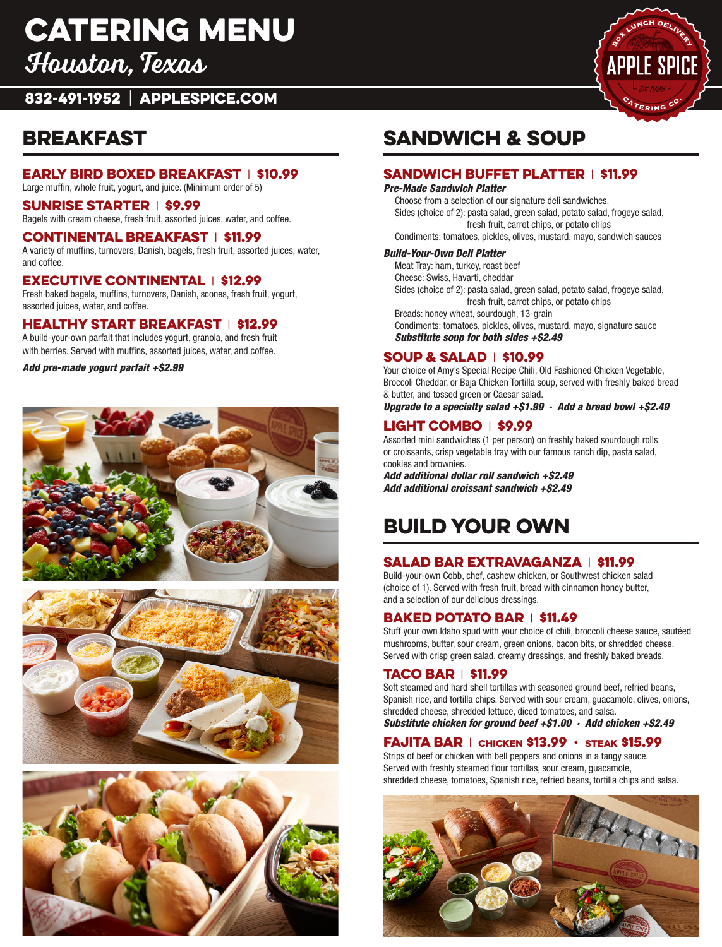# catering Menu

Houston, Texas

832-491-1952 | APPLESPICE.COM

### Breakfast

#### Early Bird Boxed Breakfast | \$10.99

Large muffin, whole fruit, yogurt, and juice. (Minimum order of 5)

#### Sunrise Starter | \$9.99

Bagels with cream cheese, fresh fruit, assorted juices, water, and coffee.

#### Continental Breakfast | \$11.99

A variety of muffins, turnovers, Danish, bagels, fresh fruit, assorted juices, water, and coffee.

#### Executive Continental | \$12.99

Fresh baked bagels, muffins, turnovers, Danish, scones, fresh fruit, yogurt, assorted juices, water, and coffee.

#### Healthy Start Breakfast | \$12.99

A build-your-own parfait that includes yogurt, granola, and fresh fruit with berries. Served with muffins, assorted juices, water, and coffee.

*Add pre-made yogurt parfait +\$2.99*







# Sandwich & Soup

#### Sandwich Buffet Platter | \$11.99

#### *Pre-Made Sandwich Platter*

Choose from a selection of our signature deli sandwiches. Sides (choice of 2): pasta salad, green salad, potato salad, frogeye salad, fresh fruit, carrot chips, or potato chips

Condiments: tomatoes, pickles, olives, mustard, mayo, sandwich sauces

#### *Build-Your-Own Deli Platter*

Meat Tray: ham, turkey, roast beef

Cheese: Swiss, Havarti, cheddar

Sides (choice of 2): pasta salad, green salad, potato salad, frogeye salad, fresh fruit, carrot chips, or potato chips

Breads: honey wheat, sourdough, 13-grain Condiments: tomatoes, pickles, olives, mustard, mayo, signature sauce *Substitute soup for both sides +\$2.49*

#### Soup & Salad | \$10.99

Your choice of Amy's Special Recipe Chili, Old Fashioned Chicken Vegetable, Broccoli Cheddar, or Baja Chicken Tortilla soup, served with freshly baked bread & butter, and tossed green or Caesar salad.

*Upgrade to a specialty salad +\$1.99 · Add a bread bowl +\$2.49*

### Light Combo | \$9.99

Assorted mini sandwiches (1 per person) on freshly baked sourdough rolls or croissants, crisp vegetable tray with our famous ranch dip, pasta salad, cookies and brownies.

*Add additional dollar roll sandwich +\$2.49 Add additional croissant sandwich +\$2.49*

# Build your own

### Salad Bar Extravaganza | \$11.99

Build-your-own Cobb, chef, cashew chicken, or Southwest chicken salad (choice of 1). Served with fresh fruit, bread with cinnamon honey butter, and a selection of our delicious dressings.

#### Baked Potato Bar | \$11.49

Stuff your own Idaho spud with your choice of chili, broccoli cheese sauce, sautéed mushrooms, butter, sour cream, green onions, bacon bits, or shredded cheese. Served with crisp green salad, creamy dressings, and freshly baked breads.

### Taco Bar | \$11.99

Soft steamed and hard shell tortillas with seasoned ground beef, refried beans, Spanish rice, and tortilla chips. Served with sour cream, guacamole, olives, onions, shredded cheese, shredded lettuce, diced tomatoes, and salsa.

*Substitute chicken for ground beef +\$1.00 · Add chicken +\$2.49*

### FAJITA BAR | CHICKEN \$13.99  $\cdot$  STEAK \$15.99

Strips of beef or chicken with bell peppers and onions in a tangy sauce. Served with freshly steamed flour tortillas, sour cream, guacamole, shredded cheese, tomatoes, Spanish rice, refried beans, tortilla chips and salsa.